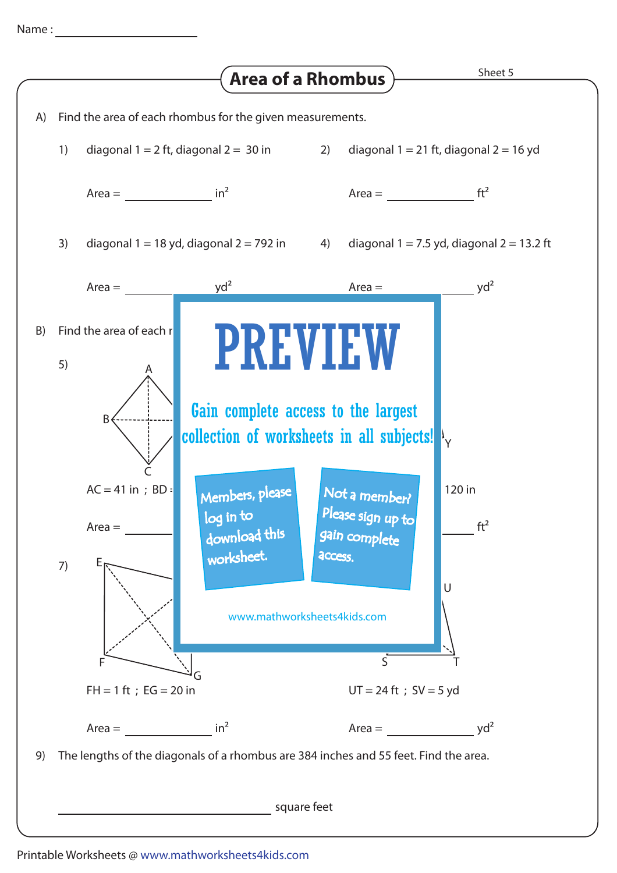